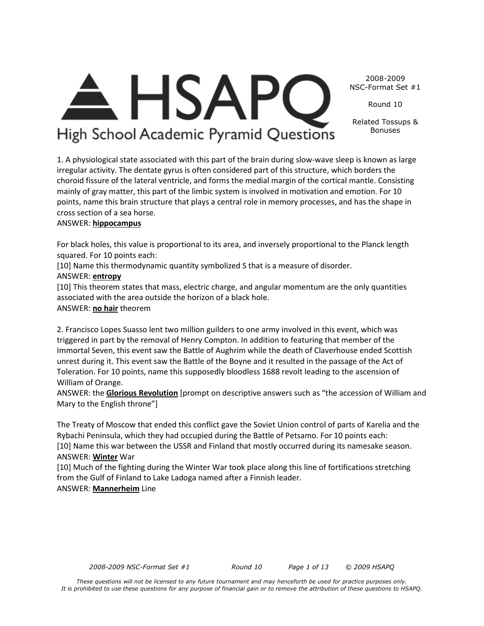Round 10

Related Tossups & Bonuses

 $\mathsf{HSAP}$ High School Academic Pyramid Questions

1. A physiological state associated with this part of the brain during slow-wave sleep is known as large irregular activity. The dentate gyrus is often considered part of this structure, which borders the choroid fissure of the lateral ventricle, and forms the medial margin of the cortical mantle. Consisting mainly of gray matter, this part of the limbic system is involved in motivation and emotion. For 10 points, name this brain structure that plays a central role in memory processes, and has the shape in cross section of a sea horse.

# ANSWER: **hippocampus**

For black holes, this value is proportional to its area, and inversely proportional to the Planck length squared. For 10 points each:

[10] Name this thermodynamic quantity symbolized S that is a measure of disorder.

# ANSWER: **entropy**

[10] This theorem states that mass, electric charge, and angular momentum are the only quantities associated with the area outside the horizon of a black hole. ANSWER: **no hair** theorem

2. Francisco Lopes Suasso lent two million guilders to one army involved in this event, which was triggered in part by the removal of Henry Compton. In addition to featuring that member of the Immortal Seven, this event saw the Battle of Aughrim while the death of Claverhouse ended Scottish unrest during it. This event saw the Battle of the Boyne and it resulted in the passage of the Act of Toleration. For 10 points, name this supposedly bloodless 1688 revolt leading to the ascension of William of Orange.

ANSWER: the **Glorious Revolution** [prompt on descriptive answers such as "the accession of William and Mary to the English throne"]

The Treaty of Moscow that ended this conflict gave the Soviet Union control of parts of Karelia and the Rybachi Peninsula, which they had occupied during the Battle of Petsamo. For 10 points each: [10] Name this war between the USSR and Finland that mostly occurred during its namesake season. ANSWER: **Winter** War

[10] Much of the fighting during the Winter War took place along this line of fortifications stretching from the Gulf of Finland to Lake Ladoga named after a Finnish leader.

# ANSWER: **Mannerheim** Line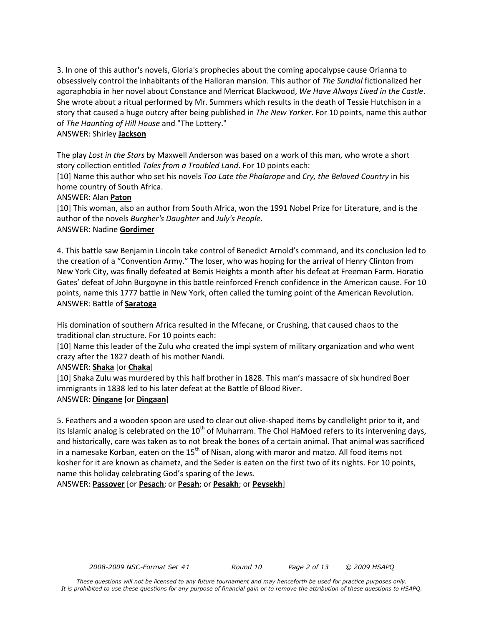3. In one of this author's novels, Gloria's prophecies about the coming apocalypse cause Orianna to obsessively control the inhabitants of the Halloran mansion. This author of *The Sundial* fictionalized her agoraphobia in her novel about Constance and Merricat Blackwood, *We Have Always Lived in the Castle*. She wrote about a ritual performed by Mr. Summers which results in the death of Tessie Hutchison in a story that caused a huge outcry after being published in *The New Yorker*. For 10 points, name this author of *The Haunting of Hill House* and "The Lottery."

# ANSWER: Shirley **Jackson**

The play *Lost in the Stars* by Maxwell Anderson was based on a work of this man, who wrote a short story collection entitled *Tales from a Troubled Land*. For 10 points each:

[10] Name this author who set his novels *Too Late the Phalarope* and *Cry, the Beloved Country* in his home country of South Africa.

# ANSWER: Alan **Paton**

[10] This woman, also an author from South Africa, won the 1991 Nobel Prize for Literature, and is the author of the novels *Burgher's Daughter* and *July's People*. ANSWER: Nadine **Gordimer**

4. This battle saw Benjamin Lincoln take control of Benedict Arnold's command, and its conclusion led to the creation of a "Convention Army." The loser, who was hoping for the arrival of Henry Clinton from New York City, was finally defeated at Bemis Heights a month after his defeat at Freeman Farm. Horatio Gates' defeat of John Burgoyne in this battle reinforced French confidence in the American cause. For 10 points, name this 1777 battle in New York, often called the turning point of the American Revolution. ANSWER: Battle of **Saratoga**

His domination of southern Africa resulted in the Mfecane, or Crushing, that caused chaos to the traditional clan structure. For 10 points each:

[10] Name this leader of the Zulu who created the impi system of military organization and who went crazy after the 1827 death of his mother Nandi.

ANSWER: **Shaka** [or **Chaka**]

[10] Shaka Zulu was murdered by this half brother in 1828. This man's massacre of six hundred Boer immigrants in 1838 led to his later defeat at the Battle of Blood River. ANSWER: **Dingane** [or **Dingaan**]

# 5. Feathers and a wooden spoon are used to clear out olive-shaped items by candlelight prior to it, and its Islamic analog is celebrated on the  $10<sup>th</sup>$  of Muharram. The Chol HaMoed refers to its intervening days, and historically, care was taken as to not break the bones of a certain animal. That animal was sacrificed in a namesake Korban, eaten on the  $15<sup>th</sup>$  of Nisan, along with maror and matzo. All food items not kosher for it are known as chametz, and the Seder is eaten on the first two of its nights. For 10 points, name this holiday celebrating God's sparing of the Jews.

ANSWER: **Passover** [or **Pesach**; or **Pesah**; or **Pesakh**; or **Peysekh**]

*2008-2009 NSC-Format Set #1 Round 10 Page 2 of 13 © 2009 HSAPQ*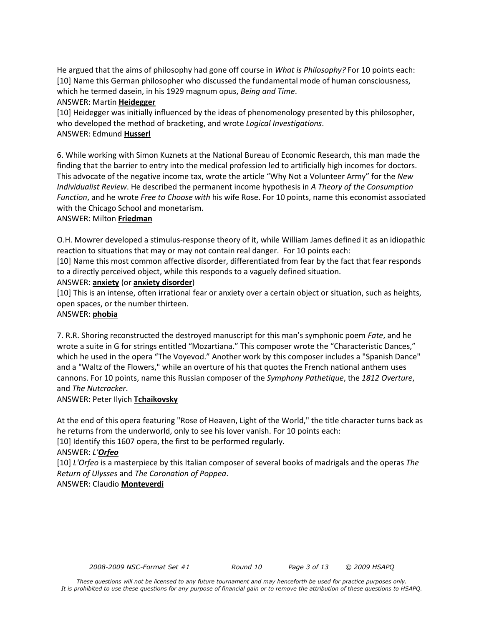He argued that the aims of philosophy had gone off course in *What is Philosophy?* For 10 points each: [10] Name this German philosopher who discussed the fundamental mode of human consciousness, which he termed dasein, in his 1929 magnum opus, *Being and Time*.

#### ANSWER: Martin **Heidegger**

[10] Heidegger was initially influenced by the ideas of phenomenology presented by this philosopher, who developed the method of bracketing, and wrote *Logical Investigations*. ANSWER: Edmund **Husserl**

6. While working with Simon Kuznets at the National Bureau of Economic Research, this man made the finding that the barrier to entry into the medical profession led to artificially high incomes for doctors. This advocate of the negative income tax, wrote the article "Why Not a Volunteer Army" for the *New Individualist Review*. He described the permanent income hypothesis in *A Theory of the Consumption Function*, and he wrote *Free to Choose with* his wife Rose. For 10 points, name this economist associated with the Chicago School and monetarism.

# ANSWER: Milton **Friedman**

O.H. Mowrer developed a stimulus-response theory of it, while William James defined it as an idiopathic reaction to situations that may or may not contain real danger. For 10 points each:

[10] Name this most common affective disorder, differentiated from fear by the fact that fear responds to a directly perceived object, while this responds to a vaguely defined situation.

# ANSWER: **anxiety** (or **anxiety disorder**)

[10] This is an intense, often irrational fear or anxiety over a certain object or situation, such as heights, open spaces, or the number thirteen.

# ANSWER: **phobia**

7. R.R. Shoring reconstructed the destroyed manuscript for this man's symphonic poem *Fate*, and he wrote a suite in G for strings entitled "Mozartiana." This composer wrote the "Characteristic Dances," which he used in the opera "The Voyevod." Another work by this composer includes a "Spanish Dance" and a "Waltz of the Flowers," while an overture of his that quotes the French national anthem uses cannons. For 10 points, name this Russian composer of the *Symphony Pathetique*, the *1812 Overture*, and *The Nutcracker*.

# ANSWER: Peter Ilyich **Tchaikovsky**

At the end of this opera featuring "Rose of Heaven, Light of the World," the title character turns back as he returns from the underworld, only to see his lover vanish. For 10 points each:

[10] Identify this 1607 opera, the first to be performed regularly.

# ANSWER: *L'Orfeo*

[10] *L'Orfeo* is a masterpiece by this Italian composer of several books of madrigals and the operas *The Return of Ulysses* and *The Coronation of Poppea*. ANSWER: Claudio **Monteverdi**

*2008-2009 NSC-Format Set #1 Round 10 Page 3 of 13 © 2009 HSAPQ*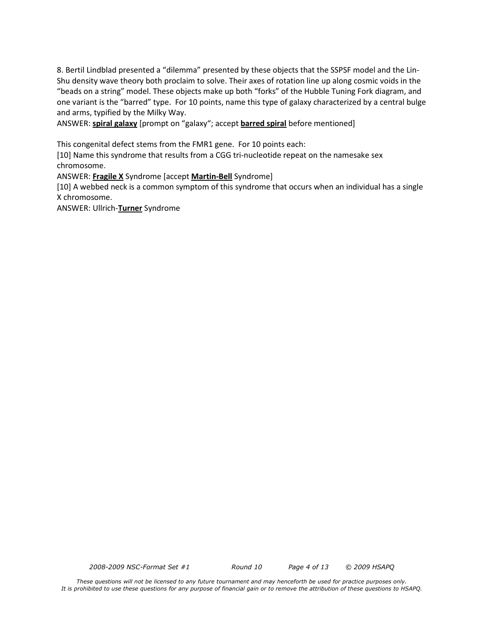8. Bertil Lindblad presented a "dilemma" presented by these objects that the SSPSF model and the Lin-Shu density wave theory both proclaim to solve. Their axes of rotation line up along cosmic voids in the "beads on a string" model. These objects make up both "forks" of the Hubble Tuning Fork diagram, and one variant is the "barred" type. For 10 points, name this type of galaxy characterized by a central bulge and arms, typified by the Milky Way.

ANSWER: **spiral galaxy** [prompt on "galaxy"; accept **barred spiral** before mentioned]

This congenital defect stems from the FMR1 gene. For 10 points each:

[10] Name this syndrome that results from a CGG tri-nucleotide repeat on the namesake sex chromosome.

ANSWER: **Fragile X** Syndrome [accept **Martin-Bell** Syndrome]

[10] A webbed neck is a common symptom of this syndrome that occurs when an individual has a single X chromosome.

ANSWER: Ullrich-**Turner** Syndrome

*2008-2009 NSC-Format Set #1 Round 10 Page 4 of 13 © 2009 HSAPQ*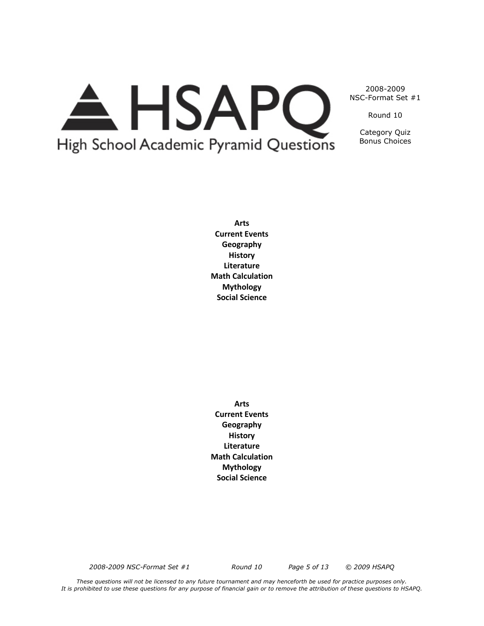

Round 10

Category Quiz Bonus Choices

**Arts Current Events Geography History Literature Math Calculation Mythology Social Science**

**Arts Current Events Geography History Literature Math Calculation Mythology Social Science**

*2008-2009 NSC-Format Set #1 Round 10 Page 5 of 13 © 2009 HSAPQ*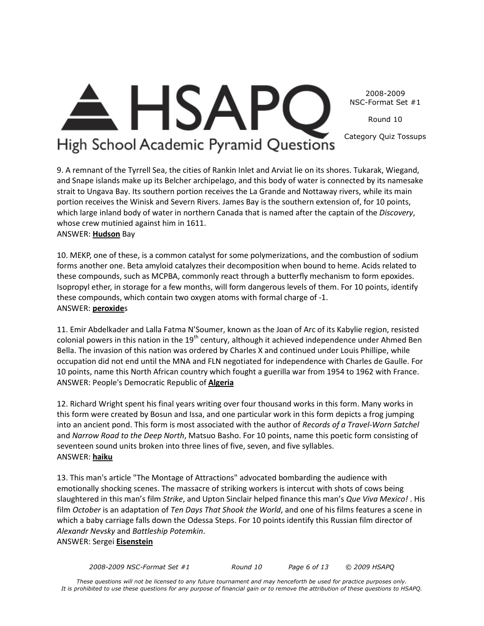Round 10

Category Quiz Tossups

High School Academic Pyramid Questions

<del>A</del> HSAP

9. A remnant of the Tyrrell Sea, the cities of Rankin Inlet and Arviat lie on its shores. Tukarak, Wiegand, and Snape islands make up its Belcher archipelago, and this body of water is connected by its namesake

strait to Ungava Bay. Its southern portion receives the La Grande and Nottaway rivers, while its main portion receives the Winisk and Severn Rivers. James Bay is the southern extension of, for 10 points, which large inland body of water in northern Canada that is named after the captain of the *Discovery*, whose crew mutinied against him in 1611.

ANSWER: **Hudson** Bay

10. MEKP, one of these, is a common catalyst for some polymerizations, and the combustion of sodium forms another one. Beta amyloid catalyzes their decomposition when bound to heme. Acids related to these compounds, such as MCPBA, commonly react through a butterfly mechanism to form epoxides. Isopropyl ether, in storage for a few months, will form dangerous levels of them. For 10 points, identify these compounds, which contain two oxygen atoms with formal charge of -1. ANSWER: **peroxide**s

11. Emir Abdelkader and Lalla Fatma N'Soumer, known as the Joan of Arc of its Kabylie region, resisted colonial powers in this nation in the 19<sup>th</sup> century, although it achieved independence under Ahmed Ben Bella. The invasion of this nation was ordered by Charles X and continued under Louis Phillipe, while occupation did not end until the MNA and FLN negotiated for independence with Charles de Gaulle. For 10 points, name this North African country which fought a guerilla war from 1954 to 1962 with France. ANSWER: People's Democratic Republic of **Algeria**

12. Richard Wright spent his final years writing over four thousand works in this form. Many works in this form were created by Bosun and Issa, and one particular work in this form depicts a frog jumping into an ancient pond. This form is most associated with the author of *Records of a Travel-Worn Satchel*  and *Narrow Road to the Deep North*, Matsuo Basho. For 10 points, name this poetic form consisting of seventeen sound units broken into three lines of five, seven, and five syllables. ANSWER: **haiku**

13. This man's article "The Montage of Attractions" advocated bombarding the audience with emotionally shocking scenes. The massacre of striking workers is intercut with shots of cows being slaughtered in this man's film *Strike*, and Upton Sinclair helped finance this man's *Que Viva Mexico!* . His film *October* is an adaptation of *Ten Days That Shook the World*, and one of his films features a scene in which a baby carriage falls down the Odessa Steps. For 10 points identify this Russian film director of *Alexandr Nevsky* and *Battleship Potemkin*. ANSWER: Sergei **Eisenstein**

*2008-2009 NSC-Format Set #1 Round 10 Page 6 of 13 © 2009 HSAPQ*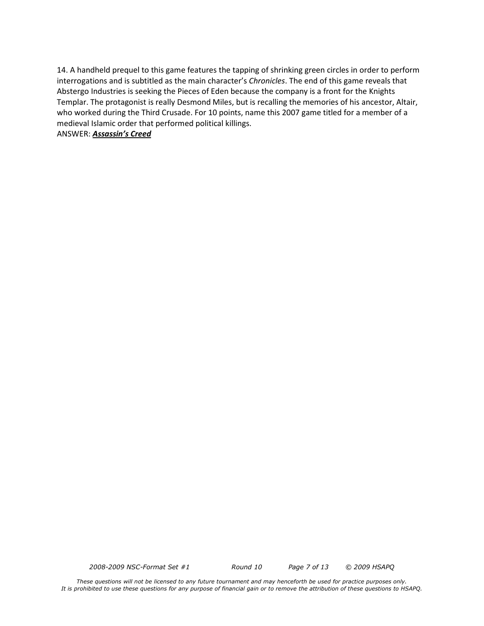14. A handheld prequel to this game features the tapping of shrinking green circles in order to perform interrogations and is subtitled as the main character's *Chronicles*. The end of this game reveals that Abstergo Industries is seeking the Pieces of Eden because the company is a front for the Knights Templar. The protagonist is really Desmond Miles, but is recalling the memories of his ancestor, Altair, who worked during the Third Crusade. For 10 points, name this 2007 game titled for a member of a medieval Islamic order that performed political killings.

ANSWER: *Assassin's Creed*

*2008-2009 NSC-Format Set #1 Round 10 Page 7 of 13 © 2009 HSAPQ*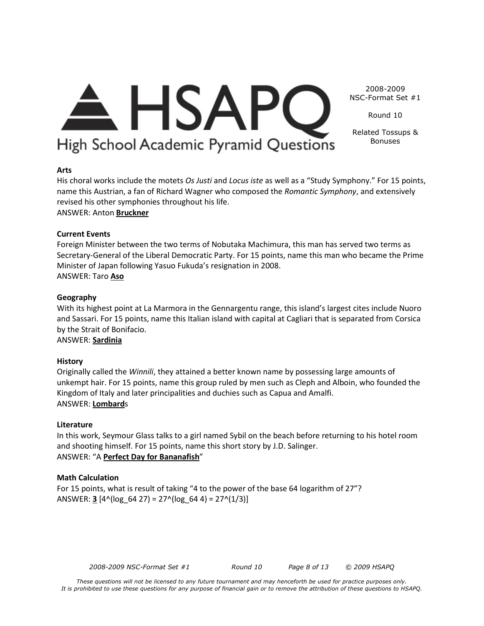Round 10

Related Tossups & High School Academic Pyramid Questions Bonuses

#### **Arts**

His choral works include the motets *Os Justi* and *Locus iste* as well as a "Study Symphony." For 15 points, name this Austrian, a fan of Richard Wagner who composed the *Romantic Symphony*, and extensively revised his other symphonies throughout his life.

 $\triangle$  HSAPC

# ANSWER: Anton **Bruckner**

#### **Current Events**

Foreign Minister between the two terms of Nobutaka Machimura, this man has served two terms as Secretary-General of the Liberal Democratic Party. For 15 points, name this man who became the Prime Minister of Japan following Yasuo Fukuda's resignation in 2008. ANSWER: Taro **Aso**

#### **Geography**

With its highest point at La Marmora in the Gennargentu range, this island's largest cites include Nuoro and Sassari. For 15 points, name this Italian island with capital at Cagliari that is separated from Corsica by the Strait of Bonifacio.

ANSWER: **Sardinia**

#### **History**

Originally called the *Winnili*, they attained a better known name by possessing large amounts of unkempt hair. For 15 points, name this group ruled by men such as Cleph and Alboin, who founded the Kingdom of Italy and later principalities and duchies such as Capua and Amalfi. ANSWER: **Lombard**s

#### **Literature**

In this work, Seymour Glass talks to a girl named Sybil on the beach before returning to his hotel room and shooting himself. For 15 points, name this short story by J.D. Salinger. ANSWER: "A **Perfect Day for Bananafish**"

#### **Math Calculation**

For 15 points, what is result of taking "4 to the power of the base 64 logarithm of 27"? ANSWER:  $\underline{3}$  [4^(log\_64 27) = 27^(log\_64 4) = 27^(1/3)]

*2008-2009 NSC-Format Set #1 Round 10 Page 8 of 13 © 2009 HSAPQ*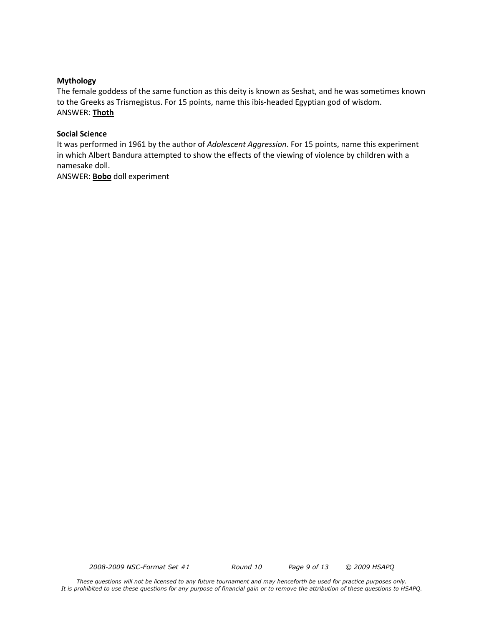#### **Mythology**

The female goddess of the same function as this deity is known as Seshat, and he was sometimes known to the Greeks as Trismegistus. For 15 points, name this ibis-headed Egyptian god of wisdom. ANSWER: **Thoth**

#### **Social Science**

It was performed in 1961 by the author of *Adolescent Aggression*. For 15 points, name this experiment in which Albert Bandura attempted to show the effects of the viewing of violence by children with a namesake doll.

ANSWER: **Bobo** doll experiment

*2008-2009 NSC-Format Set #1 Round 10 Page 9 of 13 © 2009 HSAPQ*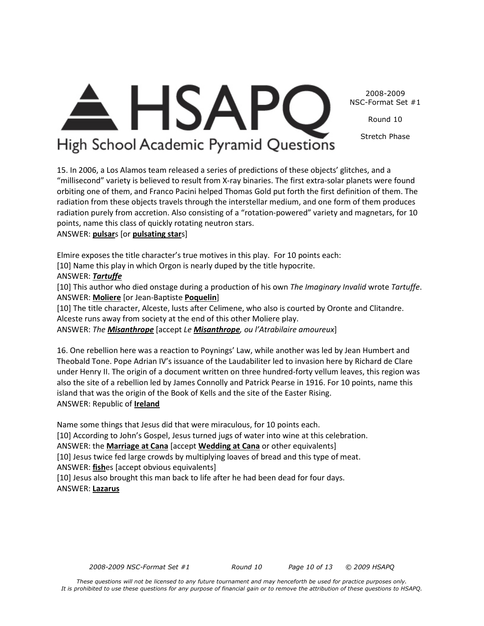Round 10

Stretch Phase

# High School Academic Pyramid Questions

<del>A</del> HSAP

15. In 2006, a Los Alamos team released a series of predictions of these objects' glitches, and a "millisecond" variety is believed to result from X-ray binaries. The first extra-solar planets were found orbiting one of them, and Franco Pacini helped Thomas Gold put forth the first definition of them. The radiation from these objects travels through the interstellar medium, and one form of them produces radiation purely from accretion. Also consisting of a "rotation-powered" variety and magnetars, for 10 points, name this class of quickly rotating neutron stars.

# ANSWER: **pulsar**s [or **pulsating star**s]

Elmire exposes the title character's true motives in this play. For 10 points each:

[10] Name this play in which Orgon is nearly duped by the title hypocrite.

# ANSWER: *Tartuffe*

[10] This author who died onstage during a production of his own *The Imaginary Invalid* wrote *Tartuffe*. ANSWER: **Moliere** [or Jean-Baptiste **Poquelin**]

[10] The title character, Alceste, lusts after Celimene, who also is courted by Oronte and Clitandre. Alceste runs away from society at the end of this other Moliere play.

ANSWER: *The Misanthrope* [accept *Le Misanthrope, ou l'Atrabilaire amoureux*]

16. One rebellion here was a reaction to Poynings' Law, while another was led by Jean Humbert and Theobald Tone. Pope Adrian IV's issuance of the Laudabiliter led to invasion here by Richard de Clare under Henry II. The origin of a document written on three hundred-forty vellum leaves, this region was also the site of a rebellion led by James Connolly and Patrick Pearse in 1916. For 10 points, name this island that was the origin of the Book of Kells and the site of the Easter Rising. ANSWER: Republic of **Ireland**

Name some things that Jesus did that were miraculous, for 10 points each. [10] According to John's Gospel, Jesus turned jugs of water into wine at this celebration. ANSWER: the **Marriage at Cana** [accept **Wedding at Cana** or other equivalents] [10] Jesus twice fed large crowds by multiplying loaves of bread and this type of meat. ANSWER: **fish**es [accept obvious equivalents] [10] Jesus also brought this man back to life after he had been dead for four days. ANSWER: **Lazarus**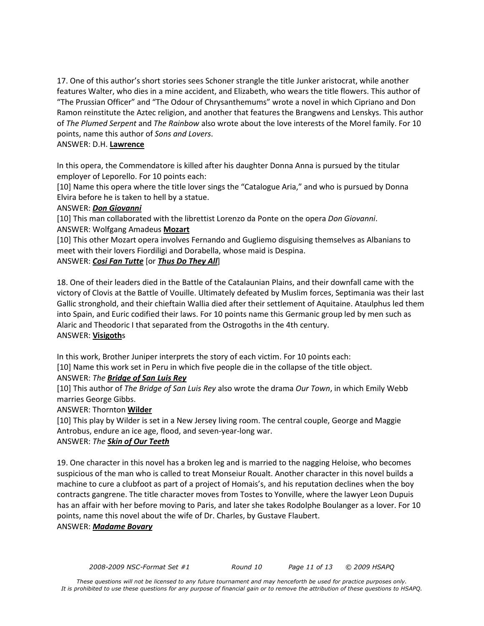17. One of this author's short stories sees Schoner strangle the title Junker aristocrat, while another features Walter, who dies in a mine accident, and Elizabeth, who wears the title flowers. This author of "The Prussian Officer" and "The Odour of Chrysanthemums" wrote a novel in which Cipriano and Don Ramon reinstitute the Aztec religion, and another that features the Brangwens and Lenskys. This author of *The Plumed Serpent* and *The Rainbow* also wrote about the love interests of the Morel family. For 10 points, name this author of *Sons and Lovers*.

# ANSWER: D.H. **Lawrence**

In this opera, the Commendatore is killed after his daughter Donna Anna is pursued by the titular employer of Leporello. For 10 points each:

[10] Name this opera where the title lover sings the "Catalogue Aria," and who is pursued by Donna Elvira before he is taken to hell by a statue.

# ANSWER: *Don Giovanni*

[10] This man collaborated with the librettist Lorenzo da Ponte on the opera *Don Giovanni*. ANSWER: Wolfgang Amadeus **Mozart**

[10] This other Mozart opera involves Fernando and Gugliemo disguising themselves as Albanians to meet with their lovers Fiordiligi and Dorabella, whose maid is Despina.

# ANSWER: *Cosi Fan Tutte* [or *Thus Do They All*]

18. One of their leaders died in the Battle of the Catalaunian Plains, and their downfall came with the victory of Clovis at the Battle of Vouille. Ultimately defeated by Muslim forces, Septimania was their last Gallic stronghold, and their chieftain Wallia died after their settlement of Aquitaine. Ataulphus led them into Spain, and Euric codified their laws. For 10 points name this Germanic group led by men such as Alaric and Theodoric I that separated from the Ostrogoths in the 4th century. ANSWER: **Visigoth**s

In this work, Brother Juniper interprets the story of each victim. For 10 points each:

[10] Name this work set in Peru in which five people die in the collapse of the title object.

# ANSWER: *The Bridge of San Luis Rey*

[10] This author of *The Bridge of San Luis Rey* also wrote the drama *Our Town*, in which Emily Webb marries George Gibbs.

ANSWER: Thornton **Wilder**

[10] This play by Wilder is set in a New Jersey living room. The central couple, George and Maggie Antrobus, endure an ice age, flood, and seven-year-long war.

# ANSWER: *The Skin of Our Teeth*

19. One character in this novel has a broken leg and is married to the nagging Heloise, who becomes suspicious of the man who is called to treat Monseiur Roualt. Another character in this novel builds a machine to cure a clubfoot as part of a project of Homais's, and his reputation declines when the boy contracts gangrene. The title character moves from Tostes to Yonville, where the lawyer Leon Dupuis has an affair with her before moving to Paris, and later she takes Rodolphe Boulanger as a lover. For 10 points, name this novel about the wife of Dr. Charles, by Gustave Flaubert.

ANSWER: *Madame Bovary*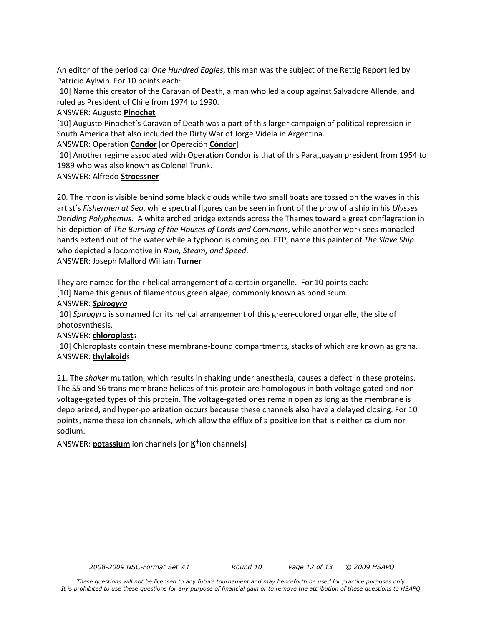An editor of the periodical *One Hundred Eagles*, this man was the subject of the Rettig Report led by Patricio Aylwin. For 10 points each:

[10] Name this creator of the Caravan of Death, a man who led a coup against Salvadore Allende, and ruled as President of Chile from 1974 to 1990.

# ANSWER: Augusto **Pinochet**

[10] Augusto Pinochet's Caravan of Death was a part of this larger campaign of political repression in South America that also included the Dirty War of Jorge Videla in Argentina.

ANSWER: Operation **Condor** [or Operación **Cóndor**]

[10] Another regime associated with Operation Condor is that of this Paraguayan president from 1954 to 1989 who was also known as Colonel Trunk.

# ANSWER: Alfredo **Stroessner**

20. The moon is visible behind some black clouds while two small boats are tossed on the waves in this artist's *Fishermen at Sea*, while spectral figures can be seen in front of the prow of a ship in his *Ulysses Deriding Polyphemus*. A white arched bridge extends across the Thames toward a great conflagration in his depiction of *The Burning of the Houses of Lords and Commons*, while another work sees manacled hands extend out of the water while a typhoon is coming on. FTP, name this painter of *The Slave Ship*  who depicted a locomotive in *Rain, Steam, and Speed*.

ANSWER: Joseph Mallord William **Turner**

They are named for their helical arrangement of a certain organelle. For 10 points each:

[10] Name this genus of filamentous green algae, commonly known as pond scum.

# ANSWER: *Spirogyra*

[10] *Spirogyra* is so named for its helical arrangement of this green-colored organelle, the site of photosynthesis.

# ANSWER: **chloroplast**s

[10] Chloroplasts contain these membrane-bound compartments, stacks of which are known as grana. ANSWER: **thylakoid**s

21. The *shaker* mutation, which results in shaking under anesthesia, causes a defect in these proteins. The S5 and S6 trans-membrane helices of this protein are homologous in both voltage-gated and nonvoltage-gated types of this protein. The voltage-gated ones remain open as long as the membrane is depolarized, and hyper-polarization occurs because these channels also have a delayed closing. For 10 points, name these ion channels, which allow the efflux of a positive ion that is neither calcium nor sodium.

ANSWER: **potassium** ion channels [or **K**+ion channels]